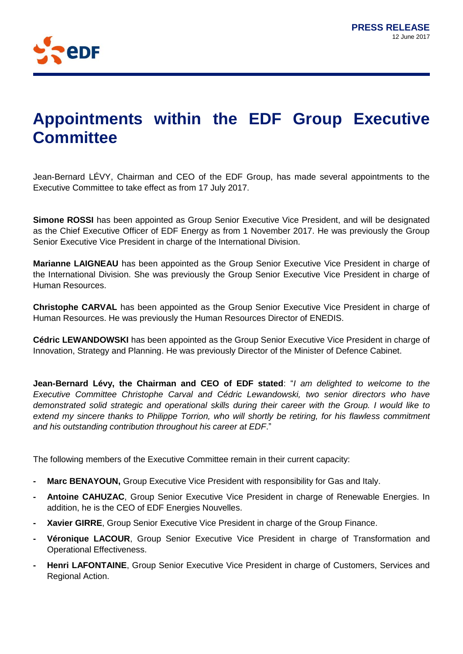

## **Appointments within the EDF Group Executive Committee**

Jean-Bernard LÉVY, Chairman and CEO of the EDF Group, has made several appointments to the Executive Committee to take effect as from 17 July 2017.

**Simone ROSSI** has been appointed as Group Senior Executive Vice President, and will be designated as the Chief Executive Officer of EDF Energy as from 1 November 2017. He was previously the Group Senior Executive Vice President in charge of the International Division.

**Marianne LAIGNEAU** has been appointed as the Group Senior Executive Vice President in charge of the International Division. She was previously the Group Senior Executive Vice President in charge of Human Resources.

**Christophe CARVAL** has been appointed as the Group Senior Executive Vice President in charge of Human Resources. He was previously the Human Resources Director of ENEDIS.

**Cédric LEWANDOWSKI** has been appointed as the Group Senior Executive Vice President in charge of Innovation, Strategy and Planning. He was previously Director of the Minister of Defence Cabinet.

**Jean-Bernard Lévy, the Chairman and CEO of EDF stated**: "*I am delighted to welcome to the Executive Committee Christophe Carval and Cédric Lewandowski, two senior directors who have demonstrated solid strategic and operational skills during their career with the Group. I would like to extend my sincere thanks to Philippe Torrion, who will shortly be retiring, for his flawless commitment and his outstanding contribution throughout his career at EDF*."

The following members of the Executive Committee remain in their current capacity:

- **- Marc BENAYOUN,** Group Executive Vice President with responsibility for Gas and Italy.
- **- Antoine CAHUZAC**, Group Senior Executive Vice President in charge of Renewable Energies. In addition, he is the CEO of EDF Energies Nouvelles.
- **- Xavier GIRRE**, Group Senior Executive Vice President in charge of the Group Finance.
- **- Véronique LACOUR**, Group Senior Executive Vice President in charge of Transformation and Operational Effectiveness.
- **- Henri LAFONTAINE**, Group Senior Executive Vice President in charge of Customers, Services and Regional Action.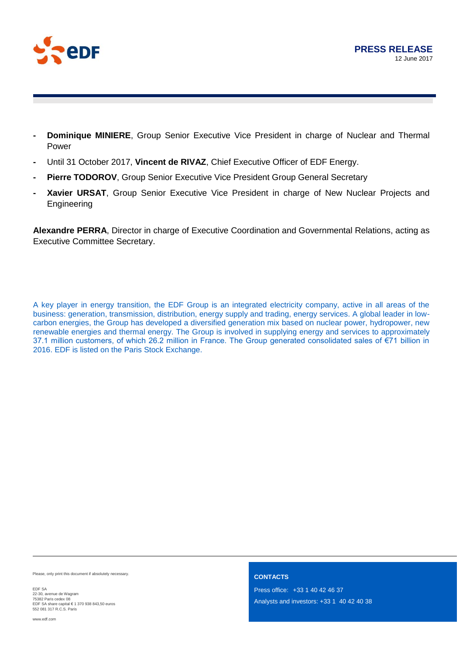

- **- Dominique MINIERE**, Group Senior Executive Vice President in charge of Nuclear and Thermal Power
- **-** Until 31 October 2017, **Vincent de RIVAZ**, Chief Executive Officer of EDF Energy.
- **- Pierre TODOROV**, Group Senior Executive Vice President Group General Secretary
- **- Xavier URSAT**, Group Senior Executive Vice President in charge of New Nuclear Projects and **Engineering**

**Alexandre PERRA**, Director in charge of Executive Coordination and Governmental Relations, acting as Executive Committee Secretary.

A key player in energy transition, the EDF Group is an integrated electricity company, active in all areas of the business: generation, transmission, distribution, energy supply and trading, energy services. A global leader in lowcarbon energies, the Group has developed a diversified generation mix based on nuclear power, hydropower, new renewable energies and thermal energy. The Group is involved in supplying energy and services to approximately 37.1 million customers, of which 26.2 million in France. The Group generated consolidated sales of €71 billion in 2016. EDF is listed on the Paris Stock Exchange.

Please, only print this document if absolutely necessary.

EDF SA 22-30, avenue de Wagram<br>75382 Paris cedex 08<br>EDF SA share capital € 1 370 938 843,50 euros 552 081 317 R.C.S. Paris

**CONTACTS** 

Press office: +33 1 40 42 46 37 Analysts and investors: +33 1 40 42 40 38

www.edf.com